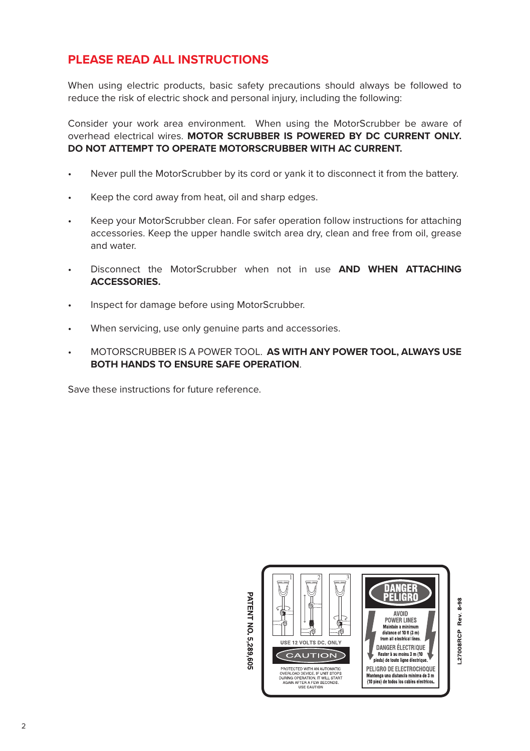## **PLEASE READ ALL INSTRUCTIONS**

When using electric products, basic safety precautions should always be followed to reduce the risk of electric shock and personal injury, including the following:

Consider your work area environment. When using the MotorScrubber be aware of overhead electrical wires. **MOTOR SCRUBBER IS POWERED BY DC CURRENT ONLY. DO NOT ATTEMPT TO OPERATE MOTORSCRUBBER WITH AC CURRENT.**

- Never pull the MotorScrubber by its cord or yank it to disconnect it from the battery.
- Keep the cord away from heat, oil and sharp edges.
- Keep your MotorScrubber clean. For safer operation follow instructions for attaching accessories. Keep the upper handle switch area dry, clean and free from oil, grease and water.
- Disconnect the MotorScrubber when not in use **AND WHEN ATTACHING ACCESSORIES.**
- Inspect for damage before using MotorScrubber.
- When servicing, use only genuine parts and accessories.
- MOTORSCRUBBER IS A POWER TOOL. **AS WITH ANY POWER TOOL, ALWAYS USE BOTH HANDS TO ENSURE SAFE OPERATION**.

Save these instructions for future reference.

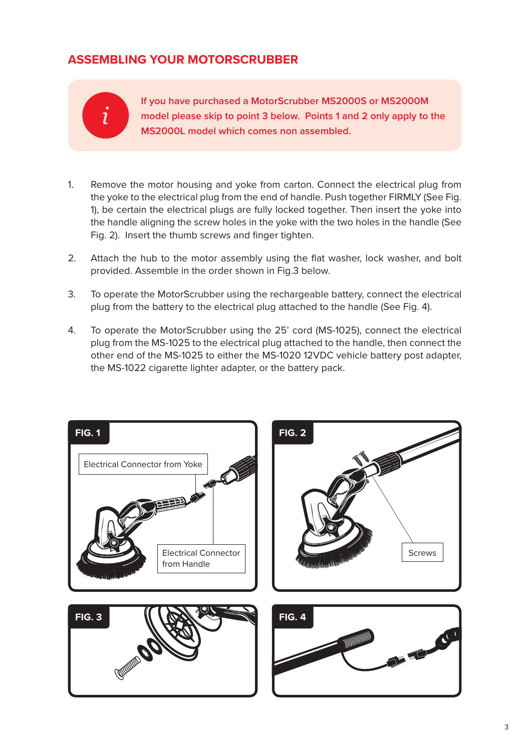# **ASSEMBLING YOUR MOTORSCRUBBER**



**If you have purchased a MotorScrubber MS2000S or MS2000M model please skip to point 3 below. Points 1 and 2 only apply to the MS2000L model which comes non assembled.**

- 1. Remove the motor housing and yoke from carton. Connect the electrical plug from the yoke to the electrical plug from the end of handle. Push together FIRMLY (See Fig. 1), be certain the electrical plugs are fully locked together. Then insert the yoke into the handle aligning the screw holes in the yoke with the two holes in the handle (See Fig. 2). Insert the thumb screws and finger tighten.
- 2. Attach the hub to the motor assembly using the flat washer, lock washer, and bolt provided. Assemble in the order shown in Fig.3 below.
- 3. To operate the MotorScrubber using the rechargeable battery, connect the electrical plug from the battery to the electrical plug attached to the handle (See Fig. 4).
- 4. To operate the MotorScrubber using the 25' cord (MS-1025), connect the electrical plug from the MS-1025 to the electrical plug attached to the handle, then connect the other end of the MS-1025 to either the MS-1020 12VDC vehicle battery post adapter, the MS-1022 cigarette lighter adapter, or the battery pack.

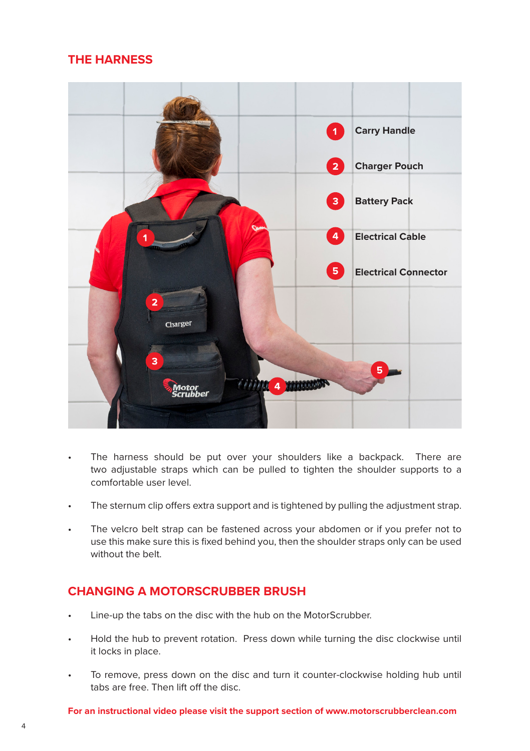## **THE HARNESS**



- The harness should be put over your shoulders like a backpack. There are two adjustable straps which can be pulled to tighten the shoulder supports to a comfortable user level.
- The sternum clip offers extra support and is tightened by pulling the adjustment strap.
- The velcro belt strap can be fastened across your abdomen or if you prefer not to use this make sure this is fixed behind you, then the shoulder straps only can be used without the belt.

#### **CHANGING A MOTORSCRUBBER BRUSH**

- Line-up the tabs on the disc with the hub on the MotorScrubber.
- Hold the hub to prevent rotation. Press down while turning the disc clockwise until it locks in place.
- To remove, press down on the disc and turn it counter-clockwise holding hub until tabs are free. Then lift off the disc.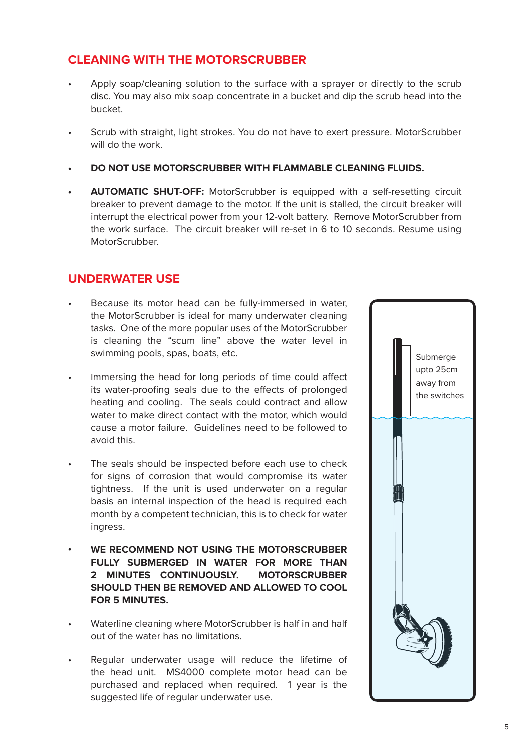## **CLEANING WITH THE MOTORSCRUBBER**

- Apply soap/cleaning solution to the surface with a sprayer or directly to the scrub disc. You may also mix soap concentrate in a bucket and dip the scrub head into the bucket.
- Scrub with straight, light strokes. You do not have to exert pressure. MotorScrubber will do the work.
- **• DO NOT USE MOTORSCRUBBER WITH FLAMMABLE CLEANING FLUIDS.**
- **• AUTOMATIC SHUT-OFF:** MotorScrubber is equipped with a self-resetting circuit breaker to prevent damage to the motor. If the unit is stalled, the circuit breaker will interrupt the electrical power from your 12-volt battery. Remove MotorScrubber from the work surface. The circuit breaker will re-set in 6 to 10 seconds. Resume using MotorScrubber.

#### **UNDERWATER USE**

- Because its motor head can be fully-immersed in water. the MotorScrubber is ideal for many underwater cleaning tasks. One of the more popular uses of the MotorScrubber is cleaning the "scum line" above the water level in swimming pools, spas, boats, etc.
- Immersing the head for long periods of time could affect its water-proofing seals due to the effects of prolonged heating and cooling. The seals could contract and allow water to make direct contact with the motor, which would cause a motor failure. Guidelines need to be followed to avoid this.
- The seals should be inspected before each use to check for signs of corrosion that would compromise its water tightness. If the unit is used underwater on a regular basis an internal inspection of the head is required each month by a competent technician, this is to check for water ingress.
- **• WE RECOMMEND NOT USING THE MOTORSCRUBBER FULLY SUBMERGED IN WATER FOR MORE THAN 2 MINUTES CONTINUOUSLY. MOTORSCRUBBER SHOULD THEN BE REMOVED AND ALLOWED TO COOL FOR 5 MINUTES.**
- Waterline cleaning where MotorScrubber is half in and half out of the water has no limitations.
- Regular underwater usage will reduce the lifetime of the head unit. MS4000 complete motor head can be purchased and replaced when required. 1 year is the suggested life of regular underwater use.

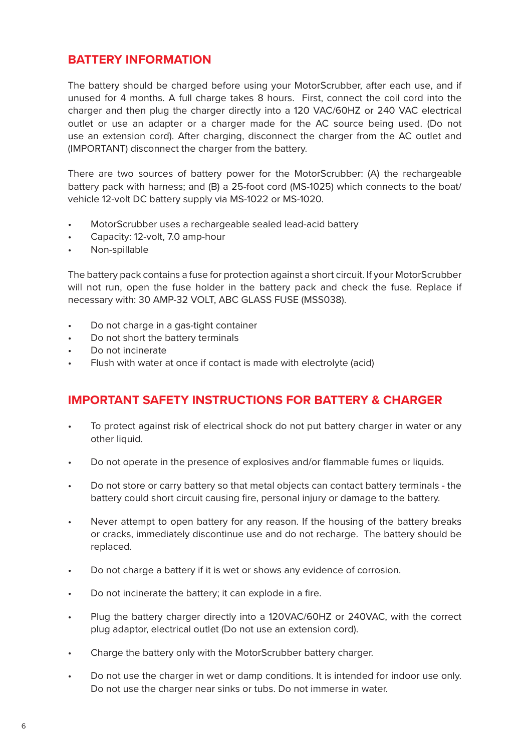## **BATTERY INFORMATION**

The battery should be charged before using your MotorScrubber, after each use, and if unused for 4 months. A full charge takes 8 hours. First, connect the coil cord into the charger and then plug the charger directly into a 120 VAC/60HZ or 240 VAC electrical outlet or use an adapter or a charger made for the AC source being used. (Do not use an extension cord). After charging, disconnect the charger from the AC outlet and (IMPORTANT) disconnect the charger from the battery.

There are two sources of battery power for the MotorScrubber: (A) the rechargeable battery pack with harness; and (B) a 25-foot cord (MS-1025) which connects to the boat/ vehicle 12-volt DC battery supply via MS-1022 or MS-1020.

- MotorScrubber uses a rechargeable sealed lead-acid battery
- Capacity: 12-volt, 7.0 amp-hour
- Non-spillable

The battery pack contains a fuse for protection against a short circuit. If your MotorScrubber will not run, open the fuse holder in the battery pack and check the fuse. Replace if necessary with: 30 AMP-32 VOLT, ABC GLASS FUSE (MSS038).

- Do not charge in a gas-tight container
- Do not short the battery terminals
- Do not incinerate
- Flush with water at once if contact is made with electrolyte (acid)

#### **IMPORTANT SAFETY INSTRUCTIONS FOR BATTERY & CHARGER**

- To protect against risk of electrical shock do not put battery charger in water or any other liquid.
- Do not operate in the presence of explosives and/or flammable fumes or liquids.
- Do not store or carry battery so that metal objects can contact battery terminals the battery could short circuit causing fire, personal injury or damage to the battery.
- Never attempt to open battery for any reason. If the housing of the battery breaks or cracks, immediately discontinue use and do not recharge. The battery should be replaced.
- Do not charge a battery if it is wet or shows any evidence of corrosion.
- Do not incinerate the battery; it can explode in a fire.
- Plug the battery charger directly into a 120VAC/60HZ or 240VAC, with the correct plug adaptor, electrical outlet (Do not use an extension cord).
- Charge the battery only with the MotorScrubber battery charger.
- Do not use the charger in wet or damp conditions. It is intended for indoor use only. Do not use the charger near sinks or tubs. Do not immerse in water.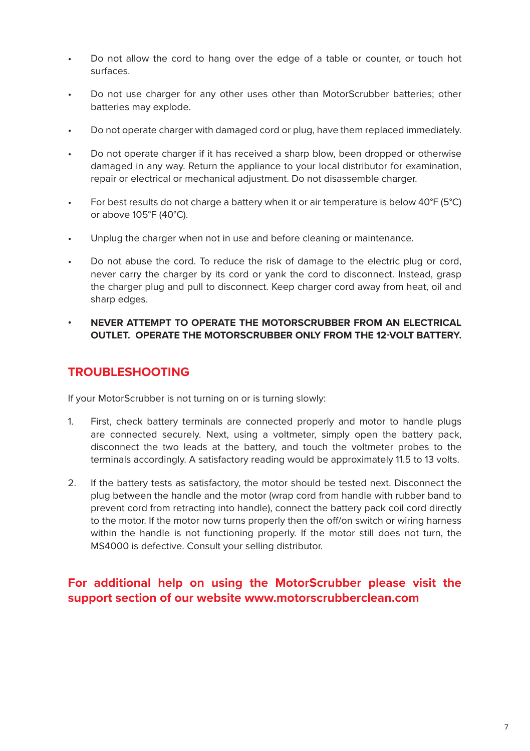- Do not allow the cord to hang over the edge of a table or counter, or touch hot surfaces.
- Do not use charger for any other uses other than MotorScrubber batteries; other batteries may explode.
- Do not operate charger with damaged cord or plug, have them replaced immediately.
- Do not operate charger if it has received a sharp blow, been dropped or otherwise damaged in any way. Return the appliance to your local distributor for examination, repair or electrical or mechanical adjustment. Do not disassemble charger.
- For best results do not charge a battery when it or air temperature is below 40°F (5°C) or above 105°F (40°C).
- Unplug the charger when not in use and before cleaning or maintenance.
- Do not abuse the cord. To reduce the risk of damage to the electric plug or cord, never carry the charger by its cord or yank the cord to disconnect. Instead, grasp the charger plug and pull to disconnect. Keep charger cord away from heat, oil and sharp edges.
- **• NEVER ATTEMPT TO OPERATE THE MOTORSCRUBBER FROM AN ELECTRICAL OUTLET. OPERATE THE MOTORSCRUBBER ONLY FROM THE 12-VOLT BATTERY.**

# **TROUBLESHOOTING**

If your MotorScrubber is not turning on or is turning slowly:

- 1. First, check battery terminals are connected properly and motor to handle plugs are connected securely. Next, using a voltmeter, simply open the battery pack, disconnect the two leads at the battery, and touch the voltmeter probes to the terminals accordingly. A satisfactory reading would be approximately 11.5 to 13 volts.
- 2. If the battery tests as satisfactory, the motor should be tested next. Disconnect the plug between the handle and the motor (wrap cord from handle with rubber band to prevent cord from retracting into handle), connect the battery pack coil cord directly to the motor. If the motor now turns properly then the off/on switch or wiring harness within the handle is not functioning properly. If the motor still does not turn, the MS4000 is defective. Consult your selling distributor.

#### **For additional help on using the MotorScrubber please visit the support section of our website www.motorscrubberclean.com**